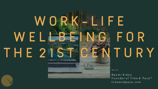**W I T H :**

N a o m i A i d o o Founder of Time & Pace<sup>®</sup> t i m e a n d p a c e . c o m

# W ORK-LIFE **W E L L B E I N G F O R T H E 2 1 S T C E N T U R Y**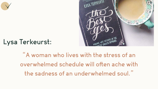

# **Lysa Terkeurst:**

**"A woman who lives with the stress of an overwhelmed schedule will often ache with the sadness of an underwhelmed soul."**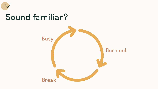

### **Burn out**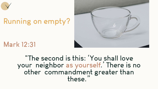### **Mark 12:31**

### **"The second is this: 'You shall love your neighbor as yourself.' There is no other commandment greater than these."**





# **Running on empty?**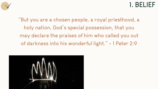### **1. BELIEF**

- 
- 



**"But you are a chosen people, a royal priesthood, a holy nation, God's special possession, that you may declare the praises of him who called you out of darkness into his wonderful light." - 1 Peter 2:9**

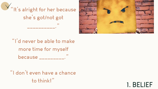### **1. BELIEF**



**"I'd never be able to make more time for myself because \_\_\_\_\_\_\_\_\_."**

**"I don't even have a chance to think!"**

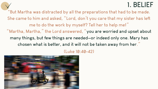# **1. BELIEF**

- 
- 
- 
- 
- 
- 





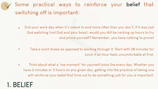**and prove yourself? Remember, you have nothing to prove!**

**lunch if an hour feels uncomfortable at first.**

- **End your work day when it's meant to end more often than you don't. If it was just**   $\bullet$ **God watching (not God and your boss), would you still be racking up hours to try**
- **Take a lunch break as opposed to working through it. Start with 20 minutes for**
- **Think about what a 'me moment' for yourself looks like every day. Whether you**   $\bullet$ **have 5 minutes or 5 hours on any given day, getting into the practice of taking one will reinforce your belief that time out to do something just for you is important.**
- **1. BELIEF**

### **Some practical ways to reinforce your belief that switching off is important:**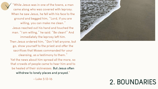# **2. BOUNDARIES**

**"While Jesus was in one of the towns, a man came along who was covered with leprosy. When he saw Jesus, he fell with his face to the ground and begged him, "Lord, if you are willing, you can make me clean." Jesus reached out his hand and touched the man. "I am willing," he said. "Be clean!" And immediately the leprosy left him. Then Jesus ordered him, "Don't tell anyone, but go, show yourself to the priest and offer the sacrifices that Moses commanded for your cleansing, as a testimony to them." Yet the news about him spread all the more, so that crowds of people came to hear him and to be healed of their sicknesses. But Jesus often withdrew to lonely places and prayed."**



**- Luke 5:12-16**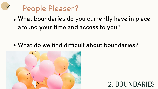# **2. BOUNDARIES**



# **People Pleaser?**

**What boundaries do you currently have in place around your time and access to you?**

### **What do we find difficult about boundaries?**

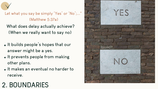

**Let what you say be simply 'Yes' or 'No';..." (Matthew 5:37a)**

- **It builds people's hopes that our answer might be a yes.**
- **It prevents people from making other plans.**
- **It makes an eventual no harder to receive.**

# **2. BOUNDARIES**



**What does delay actually achieve? (When we really want to say no)**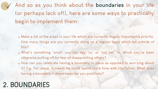- **Make a list of the areas in your life which are currently hugely important/a priority. How many things are you currently doing on a regular basis which fall outside of this?**
- **What's something 'small' you can say 'no' or 'not yet' to, which you've been otherwise putting off for fear of disappointing others?**
- **How can you celebrate having a boundary in place as opposed to worrying about it? E.g. For Jesus, it meant He could spend more time with His Father. What does having a boundary in place mean for you positively?**

**And so as you think about the boundaries in your life (or perhaps lack of!), here are some ways to practically begin to implement them:**

# **2. BOUNDARIES**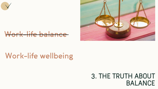

### **Work-life balance**

### **3. THE TRUTH ABOUT BALANCE**

# **Work-life wellbeing**

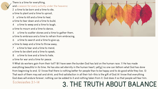9 What do workers gain from their toil? 10 I have seen the burden God has laid on the human race. 11 He has made everything beautiful in its time. He has also set eternity in the human heart; yet[[a\]](https://www.biblegateway.com/passage/?search=Ecclesiastes%2B3%3A1-14&version=NIV&fen-NIV-17371a) no one can fathom what God has done from beginning to end. 12 I know that there is nothing better for people than to be happy and to do good while they live. 13 That each of them may eat and drink, and find satisfaction in all their toil—this is the gift of God.14 I know that everything God does will endure forever; nothing can be added to it and nothing taken from it. God does it so that people will fear him.



### Ecclesiastes 3:1-14 **3. THE TRUTH ABOUT BALANCE**

There is a time for everything, and a season for every activity under the heavens: 2 a time to be born and a time to die, a time to plant and a time to uproot, 3 a time to kill and a time to heal, a time to tear down and a time to build, 4 a time to weep and a time to laugh,

a time to mourn and a time to dance,

5 a time to scatter stones and a time to gather them, a time to embrace and a time to refrain from embracing,

6 a time to search and a time to give up,

a time to keep and a time to throw away,

- 7 a time to tear and a time to mend, a time to be silent and a time to speak,
- 8 a time to love and a time to hate,

a time for war and a time for peace.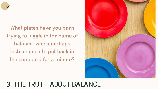# **3. THE TRUTH ABOUT BALANCE**





**What plates have you been trying to juggle in the name of balance, which perhaps instead need to put back in the cupboard for a minute?**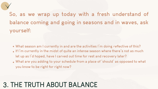- **What season am I currently in and are the activities I'm doing reflective of this?**
- **If I'm currently in the midst of quite an intense season where there's not as much let up as I'd hoped, have I carved out time for rest and recovery later?**
- **What are you adding to your schedule from a place of 'should' as opposed to what you know to be right for right now?**



### **So, as we wrap up today with a fresh understand of balance coming and going in seasons and in waves, ask yourself:**

# **3. THE TRUTH ABOUT BALANCE**